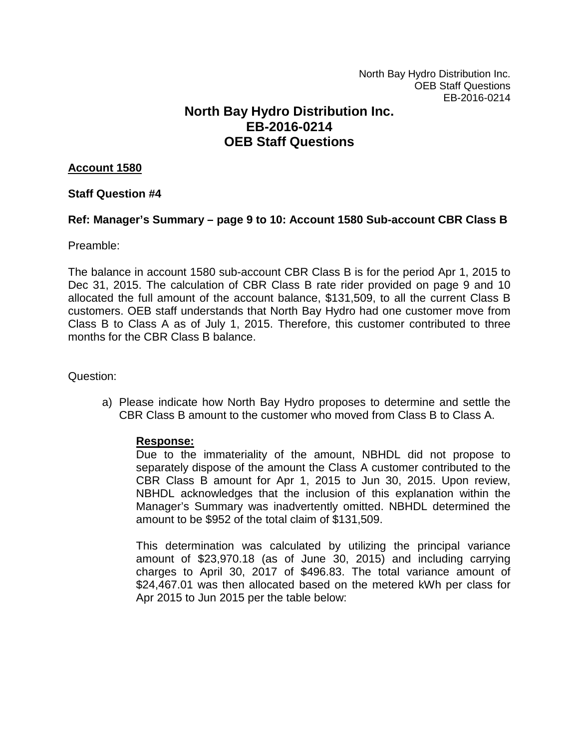# **North Bay Hydro Distribution Inc. EB-2016-0214 OEB Staff Questions**

# **Account 1580**

# **Staff Question #4**

# **Ref: Manager's Summary – page 9 to 10: Account 1580 Sub-account CBR Class B**

Preamble:

The balance in account 1580 sub-account CBR Class B is for the period Apr 1, 2015 to Dec 31, 2015. The calculation of CBR Class B rate rider provided on page 9 and 10 allocated the full amount of the account balance, \$131,509, to all the current Class B customers. OEB staff understands that North Bay Hydro had one customer move from Class B to Class A as of July 1, 2015. Therefore, this customer contributed to three months for the CBR Class B balance.

Question:

a) Please indicate how North Bay Hydro proposes to determine and settle the CBR Class B amount to the customer who moved from Class B to Class A.

#### **Response:**

Due to the immateriality of the amount, NBHDL did not propose to separately dispose of the amount the Class A customer contributed to the CBR Class B amount for Apr 1, 2015 to Jun 30, 2015. Upon review, NBHDL acknowledges that the inclusion of this explanation within the Manager's Summary was inadvertently omitted. NBHDL determined the amount to be \$952 of the total claim of \$131,509.

This determination was calculated by utilizing the principal variance amount of \$23,970.18 (as of June 30, 2015) and including carrying charges to April 30, 2017 of \$496.83. The total variance amount of \$24,467.01 was then allocated based on the metered kWh per class for Apr 2015 to Jun 2015 per the table below: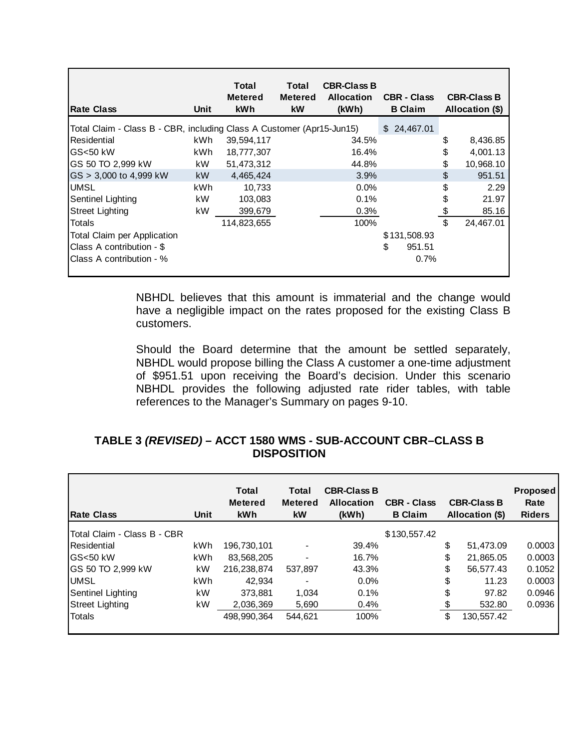| <b>Rate Class</b>                                                     | Unit | Total<br><b>Metered</b><br><b>kWh</b> | Total<br><b>Metered</b><br>kW | <b>CBR-Class B</b><br><b>Allocation</b><br>(kWh) | <b>CBR - Class</b><br><b>B</b> Claim |               | <b>CBR-Class B</b><br>Allocation (\$) |
|-----------------------------------------------------------------------|------|---------------------------------------|-------------------------------|--------------------------------------------------|--------------------------------------|---------------|---------------------------------------|
| Total Claim - Class B - CBR, including Class A Customer (Apr15-Jun15) |      |                                       |                               |                                                  | \$24,467.01                          |               |                                       |
| Residential                                                           | kWh. | 39,594,117                            |                               | 34.5%                                            |                                      | \$            | 8,436.85                              |
| GS<50 kW                                                              | kWh. | 18,777,307                            |                               | 16.4%                                            |                                      | \$            | 4,001.13                              |
| GS 50 TO 2,999 kW                                                     | kW.  | 51.473.312                            |                               | 44.8%                                            |                                      | \$            | 10,968.10                             |
| $GS > 3,000$ to 4,999 kW                                              | kW   | 4.465.424                             |                               | 3.9%                                             |                                      | \$            | 951.51                                |
| <b>UMSL</b>                                                           | kWh  | 10,733                                |                               | $0.0\%$                                          |                                      | \$            | 2.29                                  |
| Sentinel Lighting                                                     | kW   | 103,083                               |                               | 0.1%                                             |                                      | \$            | 21.97                                 |
| <b>Street Lighting</b>                                                | kW   | 399,679                               |                               | 0.3%                                             |                                      | $\frac{1}{2}$ | 85.16                                 |
| Totals                                                                |      | 114,823,655                           |                               | 100%                                             |                                      | \$            | 24,467.01                             |
| <b>Total Claim per Application</b>                                    |      |                                       |                               |                                                  | \$131,508.93                         |               |                                       |
| Class A contribution - \$                                             |      |                                       |                               |                                                  | \$<br>951.51                         |               |                                       |
| Class A contribution - %                                              |      |                                       |                               |                                                  | 0.7%                                 |               |                                       |
|                                                                       |      |                                       |                               |                                                  |                                      |               |                                       |

NBHDL believes that this amount is immaterial and the change would have a negligible impact on the rates proposed for the existing Class B customers.

Should the Board determine that the amount be settled separately, NBHDL would propose billing the Class A customer a one-time adjustment of \$951.51 upon receiving the Board's decision. Under this scenario NBHDL provides the following adjusted rate rider tables, with table references to the Manager's Summary on pages 9-10.

# **TABLE 3** *(REVISED)* **– ACCT 1580 WMS - SUB-ACCOUNT CBR–CLASS B DISPOSITION**

| <b>Rate Class</b>           | Unit | <b>Total</b><br><b>Metered</b><br><b>kWh</b> | Total<br><b>Metered</b><br><b>kW</b> | <b>CBR-Class B</b><br><b>Allocation</b><br>(kWh) | <b>CBR - Class</b><br><b>B</b> Claim |    | <b>CBR-Class B</b><br>Allocation (\$) | <b>Proposed</b><br>Rate<br><b>Riders</b> |
|-----------------------------|------|----------------------------------------------|--------------------------------------|--------------------------------------------------|--------------------------------------|----|---------------------------------------|------------------------------------------|
| Total Claim - Class B - CBR |      |                                              |                                      |                                                  | \$130,557.42                         |    |                                       |                                          |
| Residential                 | kWh  | 196.730.101                                  |                                      | 39.4%                                            |                                      | \$ | 51.473.09                             | 0.0003                                   |
| IGS<50 kW                   | kWh  | 83.568.205                                   |                                      | 16.7%                                            |                                      | \$ | 21,865.05                             | 0.0003                                   |
| GS 50 TO 2,999 kW           | kW   | 216.238.874                                  | 537,897                              | 43.3%                                            |                                      | \$ | 56,577.43                             | 0.1052                                   |
| <b>UMSL</b>                 | kWh  | 42.934                                       |                                      | $0.0\%$                                          |                                      | \$ | 11.23                                 | 0.0003                                   |
| Sentinel Lighting           | kW   | 373.881                                      | 1.034                                | 0.1%                                             |                                      | \$ | 97.82                                 | 0.0946                                   |
| Street Lighting             | kW   | 2,036,369                                    | 5,690                                | 0.4%                                             |                                      | S  | 532.80                                | 0.0936                                   |
| Totals                      |      | 498.990.364                                  | 544.621                              | 100%                                             |                                      | \$ | 130,557.42                            |                                          |